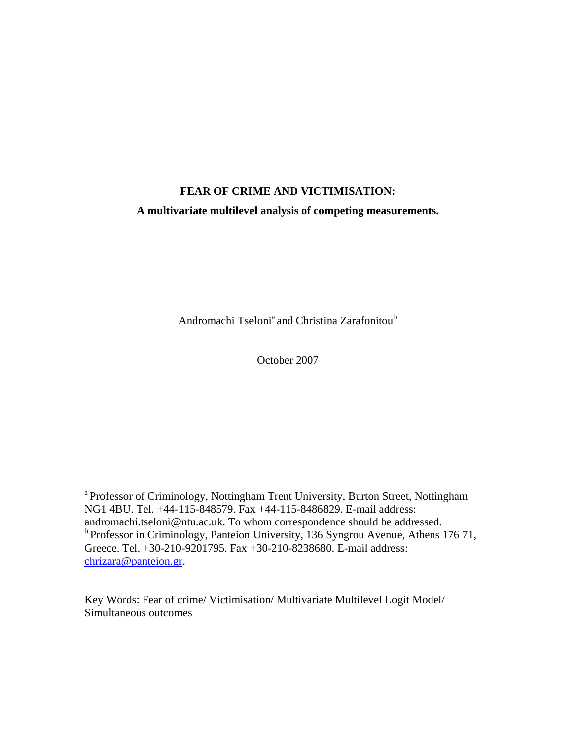# **FEAR OF CRIME AND VICTIMISATION:**

# **A multivariate multilevel analysis of competing measurements.**

Andromachi Tseloni<sup>a</sup> and Christina Zarafonitou<sup>b</sup>

October 2007

a Professor of Criminology, Nottingham Trent University, Burton Street, Nottingham NG1 4BU. Tel. +44-115-848579. Fax +44-115-8486829. E-mail address: andromachi.tseloni@ntu.ac.uk. To whom correspondence should be addressed. <sup>b</sup> Professor in Criminology, Panteion University, 136 Syngrou Avenue, Athens 176 71, Greece. Tel. +30-210-9201795. Fax +30-210-8238680. E-mail address: [chrizara@panteion.gr.](mailto:chrizara@panteion.gr)

Key Words: Fear of crime/ Victimisation/ Multivariate Multilevel Logit Model/ Simultaneous outcomes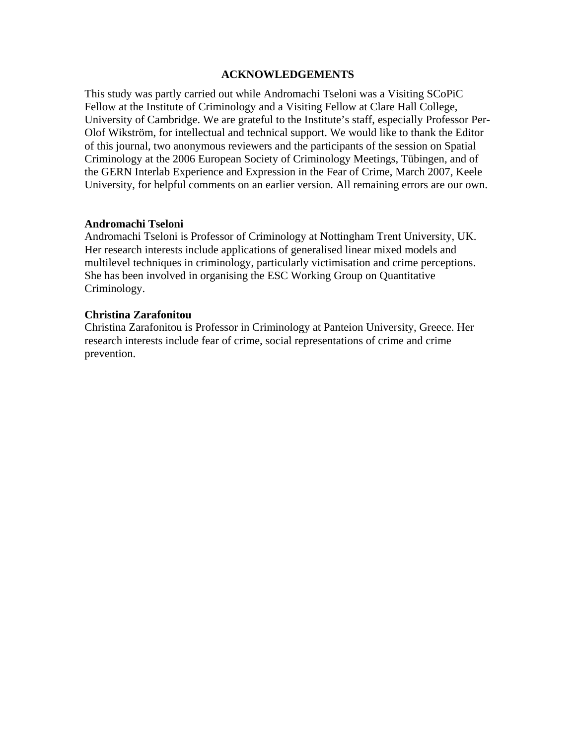## **ACKNOWLEDGEMENTS**

This study was partly carried out while Andromachi Tseloni was a Visiting SCoPiC Fellow at the Institute of Criminology and a Visiting Fellow at Clare Hall College, University of Cambridge. We are grateful to the Institute's staff, especially Professor Per-Olof Wikström, for intellectual and technical support. We would like to thank the Editor of this journal, two anonymous reviewers and the participants of the session on Spatial Criminology at the 2006 European Society of Criminology Meetings, Tübingen, and of the GERN Interlab Experience and Expression in the Fear of Crime, March 2007, Keele University, for helpful comments on an earlier version. All remaining errors are our own.

# **Andromachi Tseloni**

Andromachi Tseloni is Professor of Criminology at Nottingham Trent University, UK. Her research interests include applications of generalised linear mixed models and multilevel techniques in criminology, particularly victimisation and crime perceptions. She has been involved in organising the ESC Working Group on Quantitative Criminology.

# **Christina Zarafonitou**

Christina Zarafonitou is Professor in Criminology at Panteion University, Greece. Her research interests include fear of crime, social representations of crime and crime prevention.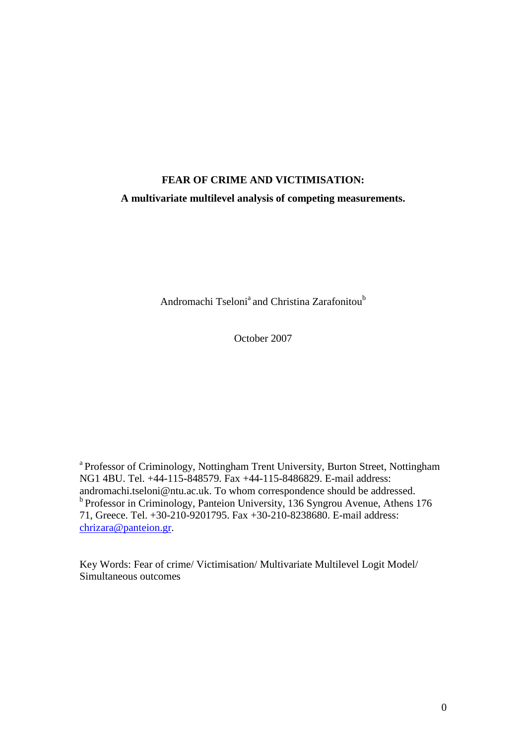# **FEAR OF CRIME AND VICTIMISATION: A multivariate multilevel analysis of competing measurements.**

Andromachi Tseloni<sup>a</sup> and Christina Zarafonitou<sup>b</sup>

October 2007

<sup>a</sup> Professor of Criminology, Nottingham Trent University, Burton Street, Nottingham NG1 4BU. Tel. +44-115-848579. Fax +44-115-8486829. E-mail address: andromachi.tseloni@ntu.ac.uk. To whom correspondence should be addressed. b<br>Professor in Criminology, Panteion University, 136 Syngrou Avenue, Athens 176 71, Greece. Tel. +30-210-9201795. Fax +30-210-8238680. E-mail address: chrizara@panteion.gr.

Key Words: Fear of crime/ Victimisation/ Multivariate Multilevel Logit Model/ Simultaneous outcomes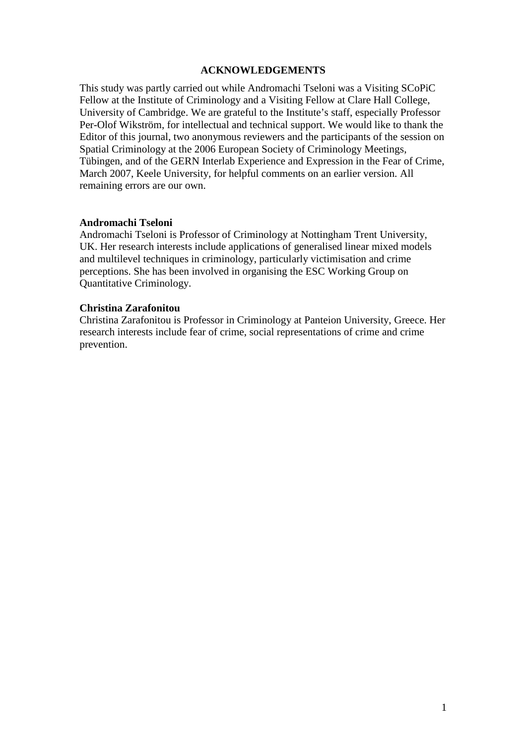## **ACKNOWLEDGEMENTS**

This study was partly carried out while Andromachi Tseloni was a Visiting SCoPiC Fellow at the Institute of Criminology and a Visiting Fellow at Clare Hall College, University of Cambridge. We are grateful to the Institute's staff, especially Professor Per-Olof Wikström, for intellectual and technical support. We would like to thank the Editor of this journal, two anonymous reviewers and the participants of the session on Spatial Criminology at the 2006 European Society of Criminology Meetings, Tübingen, and of the GERN Interlab Experience and Expression in the Fear of Crime, March 2007, Keele University, for helpful comments on an earlier version. All remaining errors are our own.

#### **Andromachi Tseloni**

Andromachi Tseloni is Professor of Criminology at Nottingham Trent University, UK. Her research interests include applications of generalised linear mixed models and multilevel techniques in criminology, particularly victimisation and crime perceptions. She has been involved in organising the ESC Working Group on Quantitative Criminology.

# **Christina Zarafonitou**

Christina Zarafonitou is Professor in Criminology at Panteion University, Greece. Her research interests include fear of crime, social representations of crime and crime prevention.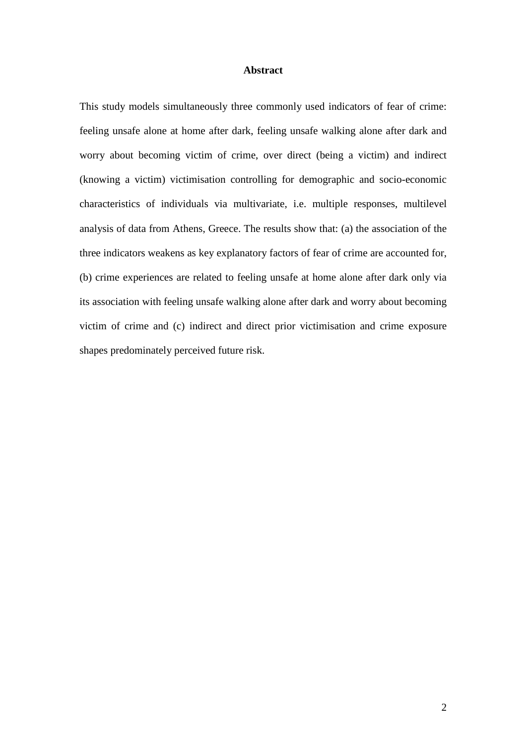#### **Abstract**

This study models simultaneously three commonly used indicators of fear of crime: feeling unsafe alone at home after dark, feeling unsafe walking alone after dark and worry about becoming victim of crime, over direct (being a victim) and indirect (knowing a victim) victimisation controlling for demographic and socio-economic characteristics of individuals via multivariate, i.e. multiple responses, multilevel analysis of data from Athens, Greece. The results show that: (a) the association of the three indicators weakens as key explanatory factors of fear of crime are accounted for, (b) crime experiences are related to feeling unsafe at home alone after dark only via its association with feeling unsafe walking alone after dark and worry about becoming victim of crime and (c) indirect and direct prior victimisation and crime exposure shapes predominately perceived future risk.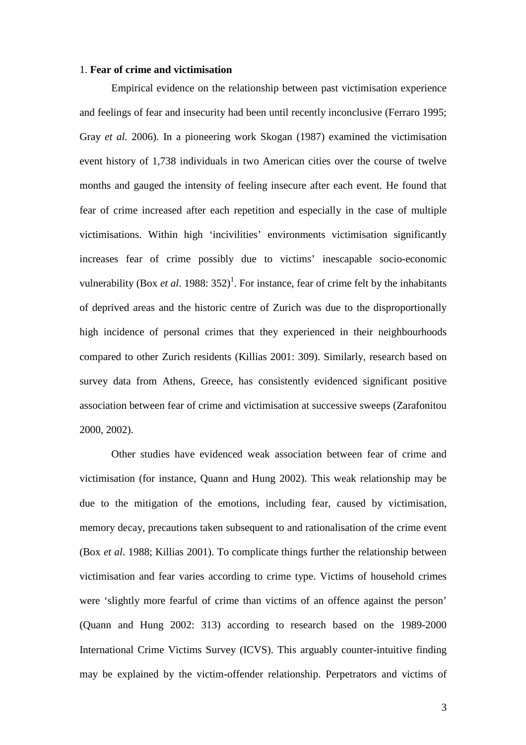#### 1. **Fear of crime and victimisation**

Empirical evidence on the relationship between past victimisation experience and feelings of fear and insecurity had been until recently inconclusive (Ferraro 1995; Gray *et al.* 2006). In a pioneering work Skogan (1987) examined the victimisation event history of 1,738 individuals in two American cities over the course of twelve months and gauged the intensity of feeling insecure after each event. He found that fear of crime increased after each repetition and especially in the case of multiple victimisations. Within high 'incivilities' environments victimisation significantly increases fear of crime possibly due to victims' inescapable socio-economic vulnerability (Box *et al.* 1988:  $352$ )<sup>1</sup>. For instance, fear of crime felt by the inhabitants of deprived areas and the historic centre of Zurich was due to the disproportionally high incidence of personal crimes that they experienced in their neighbourhoods compared to other Zurich residents (Killias 2001: 309). Similarly, research based on survey data from Athens, Greece, has consistently evidenced significant positive association between fear of crime and victimisation at successive sweeps (Zarafonitou 2000, 2002).

Other studies have evidenced weak association between fear of crime and victimisation (for instance, Quann and Hung 2002). This weak relationship may be due to the mitigation of the emotions, including fear, caused by victimisation, memory decay, precautions taken subsequent to and rationalisation of the crime event (Box *et al*. 1988; Killias 2001). To complicate things further the relationship between victimisation and fear varies according to crime type. Victims of household crimes were 'slightly more fearful of crime than victims of an offence against the person' (Quann and Hung 2002: 313) according to research based on the 1989-2000 International Crime Victims Survey (ICVS). This arguably counter-intuitive finding may be explained by the victim-offender relationship. Perpetrators and victims of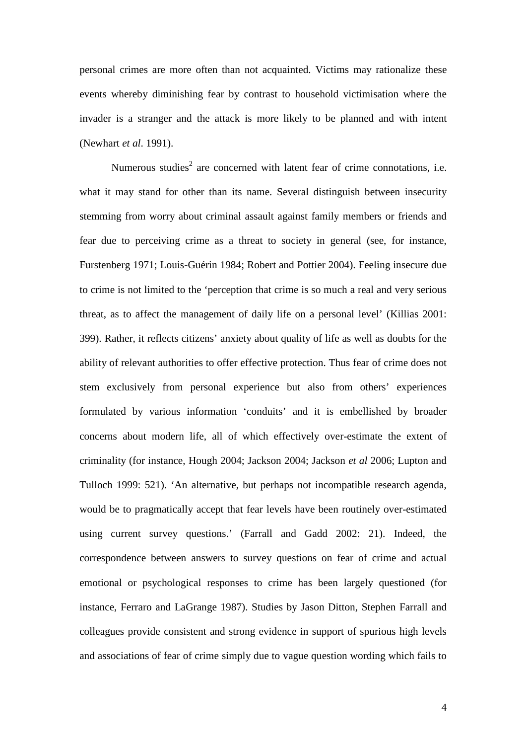personal crimes are more often than not acquainted. Victims may rationalize these events whereby diminishing fear by contrast to household victimisation where the invader is a stranger and the attack is more likely to be planned and with intent (Newhart *et al*. 1991).

Numerous studies<sup>2</sup> are concerned with latent fear of crime connotations, i.e. what it may stand for other than its name. Several distinguish between insecurity stemming from worry about criminal assault against family members or friends and fear due to perceiving crime as a threat to society in general (see, for instance, Furstenberg 1971; Louis-Guérin 1984; Robert and Pottier 2004). Feeling insecure due to crime is not limited to the 'perception that crime is so much a real and very serious threat, as to affect the management of daily life on a personal level' (Killias 2001: 399). Rather, it reflects citizens' anxiety about quality of life as well as doubts for the ability of relevant authorities to offer effective protection. Thus fear of crime does not stem exclusively from personal experience but also from others' experiences formulated by various information 'conduits' and it is embellished by broader concerns about modern life, all of which effectively over-estimate the extent of criminality (for instance, Hough 2004; Jackson 2004; Jackson *et al* 2006; Lupton and Tulloch 1999: 521). 'An alternative, but perhaps not incompatible research agenda, would be to pragmatically accept that fear levels have been routinely over-estimated using current survey questions.' (Farrall and Gadd 2002: 21). Indeed, the correspondence between answers to survey questions on fear of crime and actual emotional or psychological responses to crime has been largely questioned (for instance, Ferraro and LaGrange 1987). Studies by Jason Ditton, Stephen Farrall and colleagues provide consistent and strong evidence in support of spurious high levels and associations of fear of crime simply due to vague question wording which fails to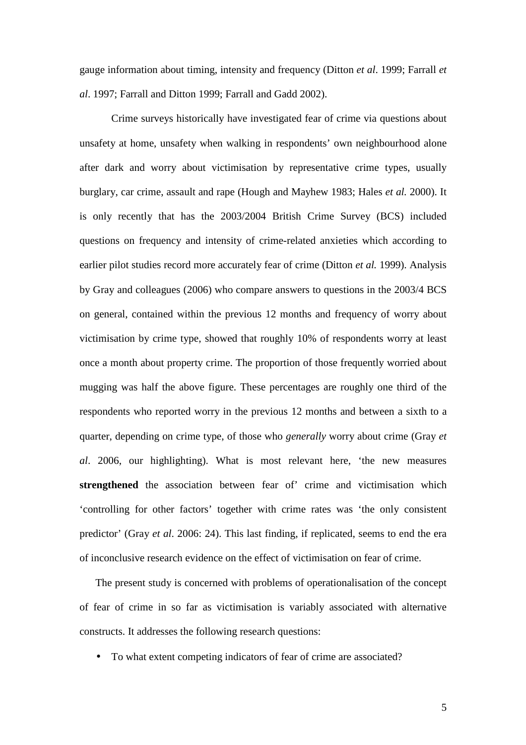gauge information about timing, intensity and frequency (Ditton *et al*. 1999; Farrall *et al*. 1997; Farrall and Ditton 1999; Farrall and Gadd 2002).

Crime surveys historically have investigated fear of crime via questions about unsafety at home, unsafety when walking in respondents' own neighbourhood alone after dark and worry about victimisation by representative crime types, usually burglary, car crime, assault and rape (Hough and Mayhew 1983; Hales *et al.* 2000). It is only recently that has the 2003/2004 British Crime Survey (BCS) included questions on frequency and intensity of crime-related anxieties which according to earlier pilot studies record more accurately fear of crime (Ditton *et al.* 1999). Analysis by Gray and colleagues (2006) who compare answers to questions in the 2003/4 BCS on general, contained within the previous 12 months and frequency of worry about victimisation by crime type, showed that roughly 10% of respondents worry at least once a month about property crime. The proportion of those frequently worried about mugging was half the above figure. These percentages are roughly one third of the respondents who reported worry in the previous 12 months and between a sixth to a quarter, depending on crime type, of those who *generally* worry about crime (Gray *et al*. 2006, our highlighting). What is most relevant here, 'the new measures **strengthened** the association between fear of' crime and victimisation which 'controlling for other factors' together with crime rates was 'the only consistent predictor' (Gray *et al*. 2006: 24). This last finding, if replicated, seems to end the era of inconclusive research evidence on the effect of victimisation on fear of crime.

The present study is concerned with problems of operationalisation of the concept of fear of crime in so far as victimisation is variably associated with alternative constructs. It addresses the following research questions:

• To what extent competing indicators of fear of crime are associated?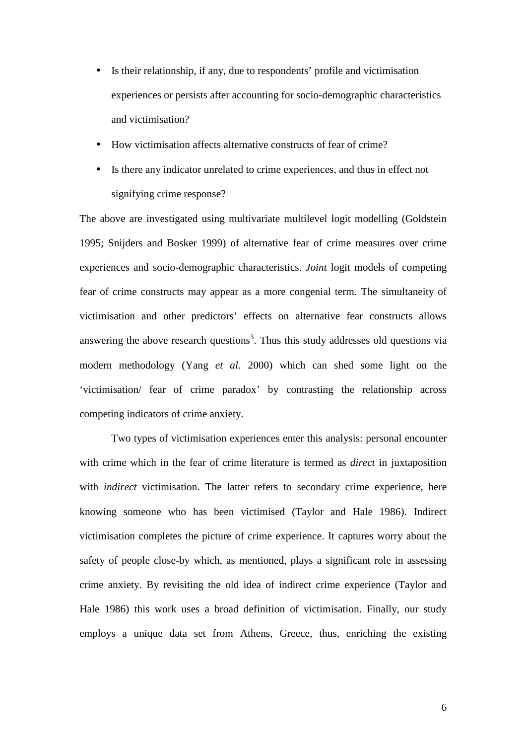- Is their relationship, if any, due to respondents' profile and victimisation experiences or persists after accounting for socio-demographic characteristics and victimisation?
- How victimisation affects alternative constructs of fear of crime?
- Is there any indicator unrelated to crime experiences, and thus in effect not signifying crime response?

The above are investigated using multivariate multilevel logit modelling (Goldstein 1995; Snijders and Bosker 1999) of alternative fear of crime measures over crime experiences and socio-demographic characteristics. *Joint* logit models of competing fear of crime constructs may appear as a more congenial term. The simultaneity of victimisation and other predictors' effects on alternative fear constructs allows answering the above research questions<sup>3</sup>. Thus this study addresses old questions via modern methodology (Yang *et al.* 2000) which can shed some light on the 'victimisation/ fear of crime paradox' by contrasting the relationship across competing indicators of crime anxiety.

Two types of victimisation experiences enter this analysis: personal encounter with crime which in the fear of crime literature is termed as *direct* in juxtaposition with *indirect* victimisation. The latter refers to secondary crime experience, here knowing someone who has been victimised (Taylor and Hale 1986). Indirect victimisation completes the picture of crime experience. It captures worry about the safety of people close-by which, as mentioned, plays a significant role in assessing crime anxiety. By revisiting the old idea of indirect crime experience (Taylor and Hale 1986) this work uses a broad definition of victimisation. Finally, our study employs a unique data set from Athens, Greece, thus, enriching the existing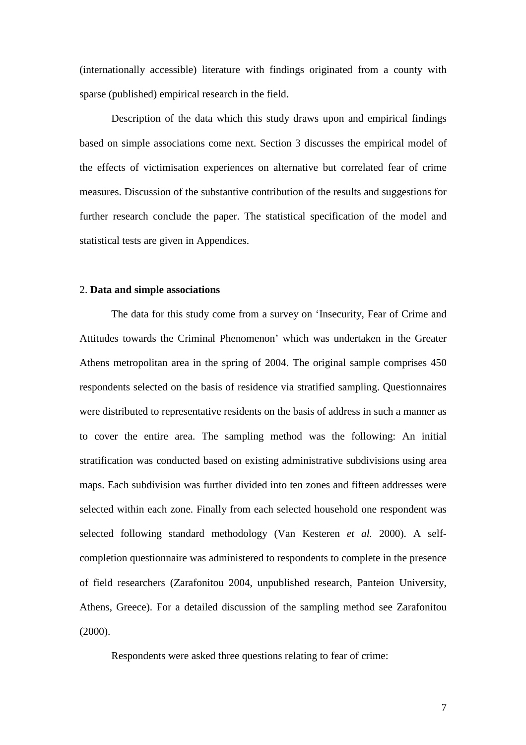(internationally accessible) literature with findings originated from a county with sparse (published) empirical research in the field.

Description of the data which this study draws upon and empirical findings based on simple associations come next. Section 3 discusses the empirical model of the effects of victimisation experiences on alternative but correlated fear of crime measures. Discussion of the substantive contribution of the results and suggestions for further research conclude the paper. The statistical specification of the model and statistical tests are given in Appendices.

#### 2. **Data and simple associations**

The data for this study come from a survey on 'Insecurity, Fear of Crime and Attitudes towards the Criminal Phenomenon' which was undertaken in the Greater Athens metropolitan area in the spring of 2004. The original sample comprises 450 respondents selected on the basis of residence via stratified sampling. Questionnaires were distributed to representative residents on the basis of address in such a manner as to cover the entire area. The sampling method was the following: An initial stratification was conducted based on existing administrative subdivisions using area maps. Each subdivision was further divided into ten zones and fifteen addresses were selected within each zone. Finally from each selected household one respondent was selected following standard methodology (Van Kesteren *et al.* 2000). A selfcompletion questionnaire was administered to respondents to complete in the presence of field researchers (Ζarafonitou 2004, unpublished research, Panteion University, Athens, Greece). For a detailed discussion of the sampling method see Zarafonitou (2000).

Respondents were asked three questions relating to fear of crime: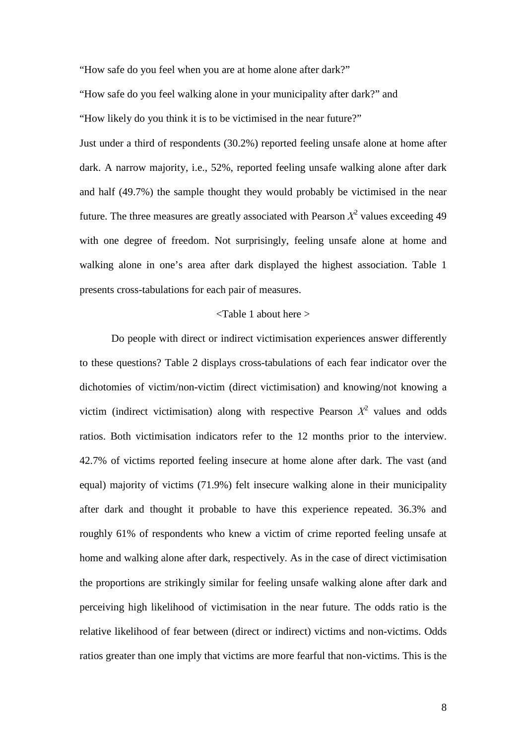"How safe do you feel when you are at home alone after dark?"

"How safe do you feel walking alone in your municipality after dark?" and

"How likely do you think it is to be victimised in the near future?"

Just under a third of respondents (30.2%) reported feeling unsafe alone at home after dark. A narrow majority, i.e., 52%, reported feeling unsafe walking alone after dark and half (49.7%) the sample thought they would probably be victimised in the near future. The three measures are greatly associated with Pearson  $X^2$  values exceeding 49 with one degree of freedom. Not surprisingly, feeling unsafe alone at home and walking alone in one's area after dark displayed the highest association. Table 1 presents cross-tabulations for each pair of measures.

# <Table 1 about here >

Do people with direct or indirect victimisation experiences answer differently to these questions? Table 2 displays cross-tabulations of each fear indicator over the dichotomies of victim/non-victim (direct victimisation) and knowing/not knowing a victim (indirect victimisation) along with respective Pearson  $X^2$  values and odds ratios. Both victimisation indicators refer to the 12 months prior to the interview. 42.7% of victims reported feeling insecure at home alone after dark. The vast (and equal) majority of victims (71.9%) felt insecure walking alone in their municipality after dark and thought it probable to have this experience repeated. 36.3% and roughly 61% of respondents who knew a victim of crime reported feeling unsafe at home and walking alone after dark, respectively. As in the case of direct victimisation the proportions are strikingly similar for feeling unsafe walking alone after dark and perceiving high likelihood of victimisation in the near future. The odds ratio is the relative likelihood of fear between (direct or indirect) victims and non-victims. Odds ratios greater than one imply that victims are more fearful that non-victims. This is the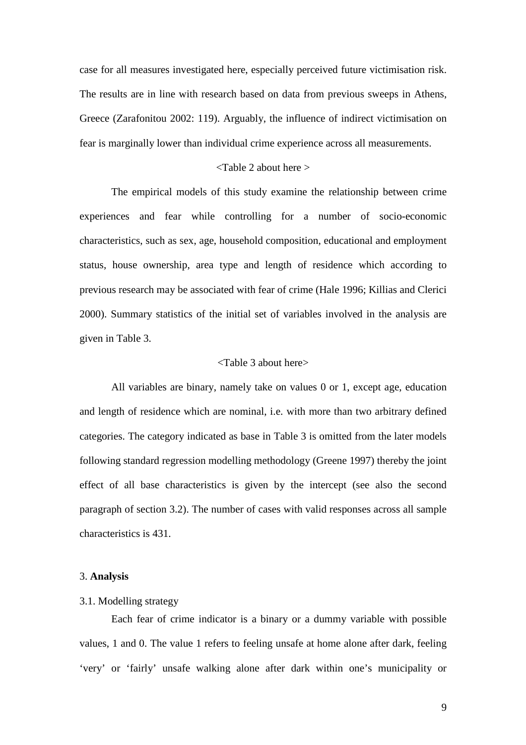case for all measures investigated here, especially perceived future victimisation risk. The results are in line with research based on data from previous sweeps in Athens, Greece (Ζarafonitou 2002: 119). Arguably, the influence of indirect victimisation on fear is marginally lower than individual crime experience across all measurements.

# <Table 2 about here >

The empirical models of this study examine the relationship between crime experiences and fear while controlling for a number of socio-economic characteristics, such as sex, age, household composition, educational and employment status, house ownership, area type and length of residence which according to previous research may be associated with fear of crime (Hale 1996; Killias and Clerici 2000). Summary statistics of the initial set of variables involved in the analysis are given in Table 3.

# <Table 3 about here>

All variables are binary, namely take on values 0 or 1, except age, education and length of residence which are nominal, i.e. with more than two arbitrary defined categories. The category indicated as base in Table 3 is omitted from the later models following standard regression modelling methodology (Greene 1997) thereby the joint effect of all base characteristics is given by the intercept (see also the second paragraph of section 3.2). The number of cases with valid responses across all sample characteristics is 431.

#### 3. **Analysis**

### 3.1. Modelling strategy

Each fear of crime indicator is a binary or a dummy variable with possible values, 1 and 0. The value 1 refers to feeling unsafe at home alone after dark, feeling 'very' or 'fairly' unsafe walking alone after dark within one's municipality or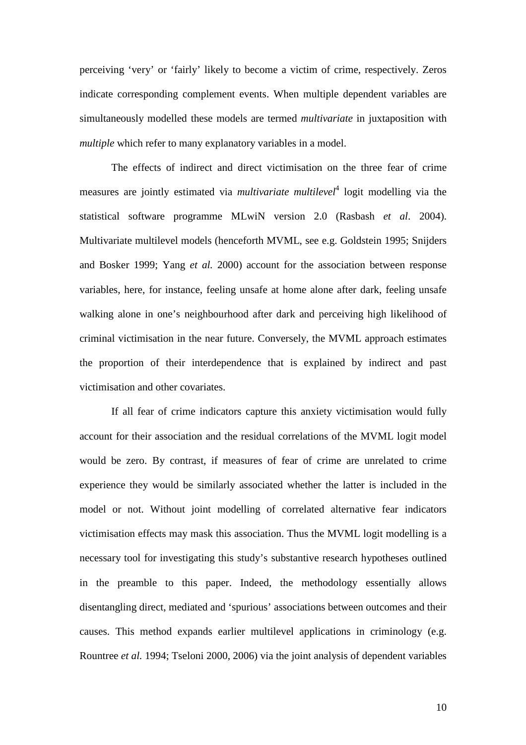perceiving 'very' or 'fairly' likely to become a victim of crime, respectively. Zeros indicate corresponding complement events. When multiple dependent variables are simultaneously modelled these models are termed *multivariate* in juxtaposition with *multiple* which refer to many explanatory variables in a model.

The effects of indirect and direct victimisation on the three fear of crime measures are jointly estimated via *multivariate multilevel*<sup>4</sup> logit modelling via the statistical software programme MLwiN version 2.0 (Rasbash *et al*. 2004). Multivariate multilevel models (henceforth MVML, see e.g. Goldstein 1995; Snijders and Bosker 1999; Yang *et al.* 2000) account for the association between response variables, here, for instance, feeling unsafe at home alone after dark, feeling unsafe walking alone in one's neighbourhood after dark and perceiving high likelihood of criminal victimisation in the near future. Conversely, the MVML approach estimates the proportion of their interdependence that is explained by indirect and past victimisation and other covariates.

If all fear of crime indicators capture this anxiety victimisation would fully account for their association and the residual correlations of the MVML logit model would be zero. By contrast, if measures of fear of crime are unrelated to crime experience they would be similarly associated whether the latter is included in the model or not. Without joint modelling of correlated alternative fear indicators victimisation effects may mask this association. Thus the MVML logit modelling is a necessary tool for investigating this study's substantive research hypotheses outlined in the preamble to this paper. Indeed, the methodology essentially allows disentangling direct, mediated and 'spurious' associations between outcomes and their causes. This method expands earlier multilevel applications in criminology (e.g. Rountree *et al.* 1994; Tseloni 2000, 2006) via the joint analysis of dependent variables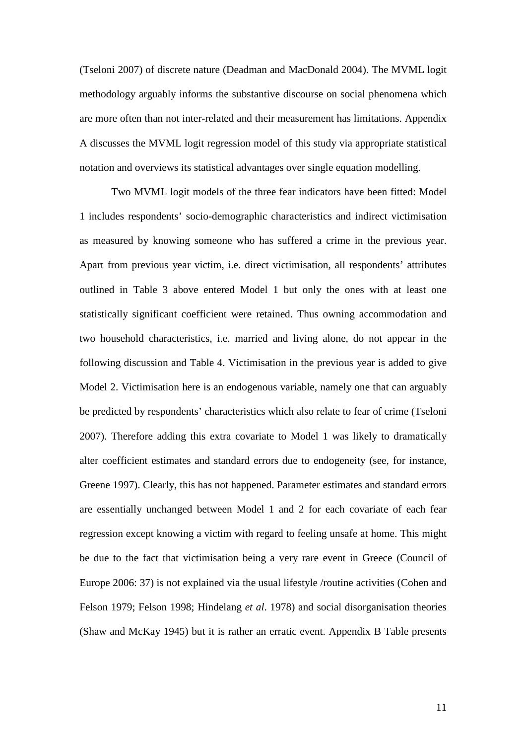(Tseloni 2007) of discrete nature (Deadman and MacDonald 2004). The MVML logit methodology arguably informs the substantive discourse on social phenomena which are more often than not inter-related and their measurement has limitations. Appendix A discusses the MVML logit regression model of this study via appropriate statistical notation and overviews its statistical advantages over single equation modelling.

Two MVML logit models of the three fear indicators have been fitted: Model 1 includes respondents' socio-demographic characteristics and indirect victimisation as measured by knowing someone who has suffered a crime in the previous year. Apart from previous year victim, i.e. direct victimisation, all respondents' attributes outlined in Table 3 above entered Model 1 but only the ones with at least one statistically significant coefficient were retained. Thus owning accommodation and two household characteristics, i.e. married and living alone, do not appear in the following discussion and Table 4. Victimisation in the previous year is added to give Model 2. Victimisation here is an endogenous variable, namely one that can arguably be predicted by respondents' characteristics which also relate to fear of crime (Tseloni 2007). Therefore adding this extra covariate to Model 1 was likely to dramatically alter coefficient estimates and standard errors due to endogeneity (see, for instance, Greene 1997). Clearly, this has not happened. Parameter estimates and standard errors are essentially unchanged between Model 1 and 2 for each covariate of each fear regression except knowing a victim with regard to feeling unsafe at home. This might be due to the fact that victimisation being a very rare event in Greece (Council of Europe 2006: 37) is not explained via the usual lifestyle /routine activities (Cohen and Felson 1979; Felson 1998; Hindelang *et al*. 1978) and social disorganisation theories (Shaw and McKay 1945) but it is rather an erratic event. Appendix B Table presents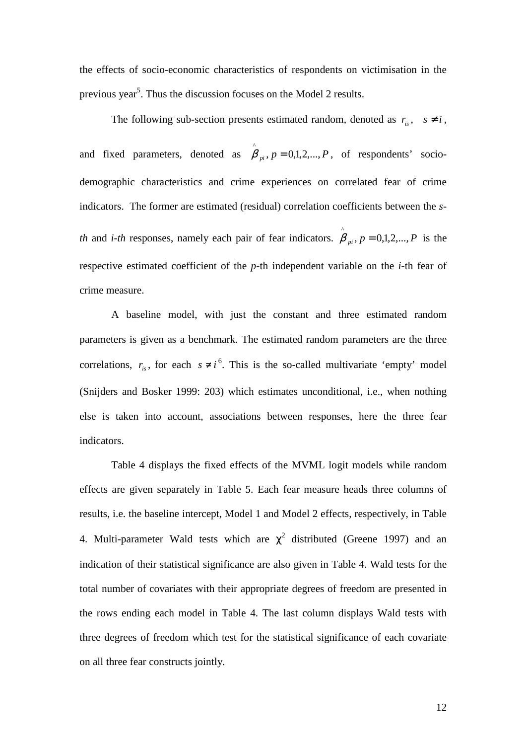the effects of socio-economic characteristics of respondents on victimisation in the previous year<sup>5</sup>. Thus the discussion focuses on the Model 2 results.

The following sub-section presents estimated random, denoted as  $r_{is}$ ,  $s \neq i$ , and fixed parameters, denoted as  $\hat{\beta}_{pi}$ ,  $p = 0,1,2,..., P$ , of respondents' sociodemographic characteristics and crime experiences on correlated fear of crime indicators. The former are estimated (residual) correlation coefficients between the *sth* and *i-th* responses, namely each pair of fear indicators.  $\hat{\beta}_{pi}$ ,  $p = 0,1,2,...,P$  is the respective estimated coefficient of the *p*-th independent variable on the *i*-th fear of crime measure.

A baseline model, with just the constant and three estimated random parameters is given as a benchmark. The estimated random parameters are the three correlations,  $r_{is}$ , for each  $s \neq i^6$ . This is the so-called multivariate 'empty' model (Snijders and Bosker 1999: 203) which estimates unconditional, i.e., when nothing else is taken into account, associations between responses, here the three fear indicators.

Table 4 displays the fixed effects of the MVML logit models while random effects are given separately in Table 5. Each fear measure heads three columns of results, i.e. the baseline intercept, Model 1 and Model 2 effects, respectively, in Table 4. Multi-parameter Wald tests which are  $\chi^2$  distributed (Greene 1997) and an indication of their statistical significance are also given in Table 4. Wald tests for the total number of covariates with their appropriate degrees of freedom are presented in the rows ending each model in Table 4. The last column displays Wald tests with three degrees of freedom which test for the statistical significance of each covariate on all three fear constructs jointly.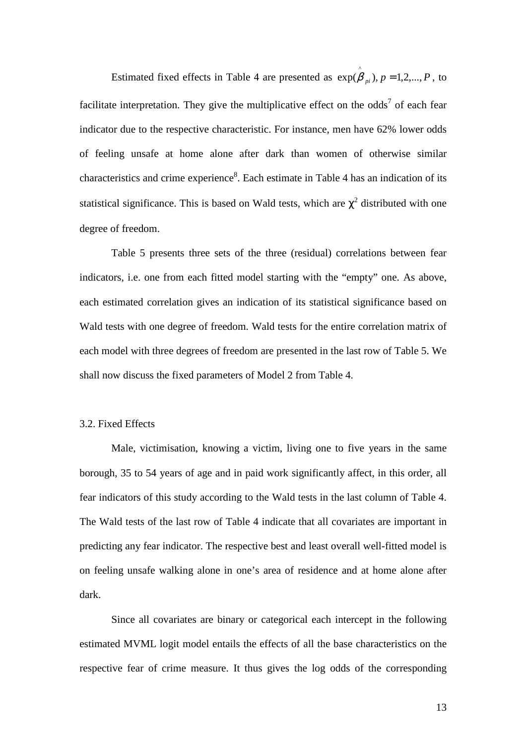Estimated fixed effects in Table 4 are presented as  $exp(\hat{\beta}_{pi}), p = 1, 2, ..., P$ , to facilitate interpretation. They give the multiplicative effect on the odds<sup>7</sup> of each fear indicator due to the respective characteristic. For instance, men have 62% lower odds of feeling unsafe at home alone after dark than women of otherwise similar characteristics and crime experience<sup>8</sup>. Each estimate in Table 4 has an indication of its statistical significance. This is based on Wald tests, which are  $\chi^2$  distributed with one degree of freedom.

Table 5 presents three sets of the three (residual) correlations between fear indicators, i.e. one from each fitted model starting with the "empty" one. As above, each estimated correlation gives an indication of its statistical significance based on Wald tests with one degree of freedom. Wald tests for the entire correlation matrix of each model with three degrees of freedom are presented in the last row of Table 5. We shall now discuss the fixed parameters of Model 2 from Table 4.

# 3.2. Fixed Effects

Male, victimisation, knowing a victim, living one to five years in the same borough, 35 to 54 years of age and in paid work significantly affect, in this order, all fear indicators of this study according to the Wald tests in the last column of Table 4. The Wald tests of the last row of Table 4 indicate that all covariates are important in predicting any fear indicator. The respective best and least overall well-fitted model is on feeling unsafe walking alone in one's area of residence and at home alone after dark.

Since all covariates are binary or categorical each intercept in the following estimated MVML logit model entails the effects of all the base characteristics on the respective fear of crime measure. It thus gives the log odds of the corresponding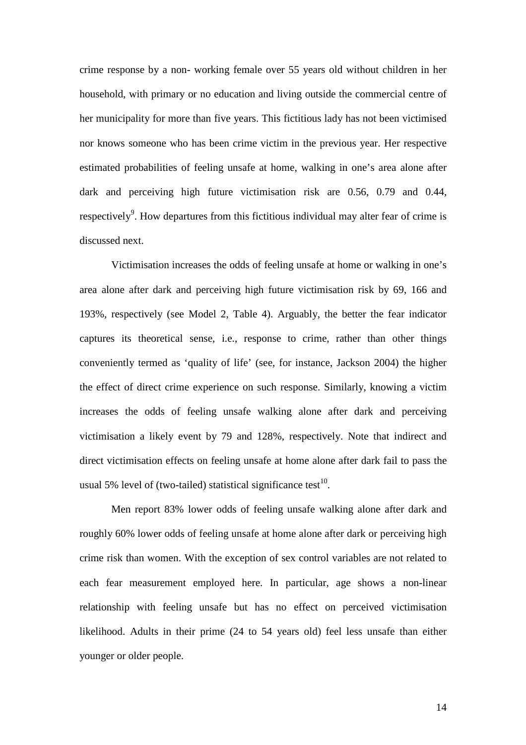crime response by a non- working female over 55 years old without children in her household, with primary or no education and living outside the commercial centre of her municipality for more than five years. This fictitious lady has not been victimised nor knows someone who has been crime victim in the previous year. Her respective estimated probabilities of feeling unsafe at home, walking in one's area alone after dark and perceiving high future victimisation risk are 0.56, 0.79 and 0.44, respectively<sup>9</sup>. How departures from this fictitious individual may alter fear of crime is discussed next.

Victimisation increases the odds of feeling unsafe at home or walking in one's area alone after dark and perceiving high future victimisation risk by 69, 166 and 193%, respectively (see Model 2, Table 4). Arguably, the better the fear indicator captures its theoretical sense, i.e., response to crime, rather than other things conveniently termed as 'quality of life' (see, for instance, Jackson 2004) the higher the effect of direct crime experience on such response. Similarly, knowing a victim increases the odds of feeling unsafe walking alone after dark and perceiving victimisation a likely event by 79 and 128%, respectively. Note that indirect and direct victimisation effects on feeling unsafe at home alone after dark fail to pass the usual 5% level of (two-tailed) statistical significance test<sup>10</sup>.

Men report 83% lower odds of feeling unsafe walking alone after dark and roughly 60% lower odds of feeling unsafe at home alone after dark or perceiving high crime risk than women. With the exception of sex control variables are not related to each fear measurement employed here. In particular, age shows a non-linear relationship with feeling unsafe but has no effect on perceived victimisation likelihood. Adults in their prime (24 to 54 years old) feel less unsafe than either younger or older people.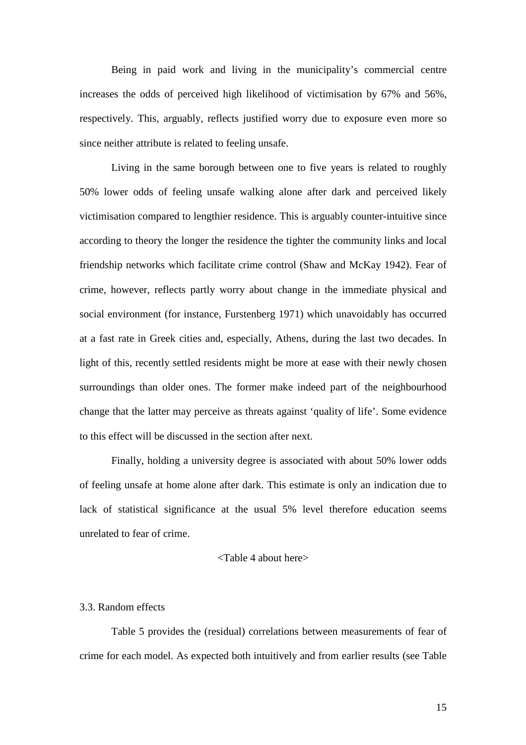Being in paid work and living in the municipality's commercial centre increases the odds of perceived high likelihood of victimisation by 67% and 56%, respectively. This, arguably, reflects justified worry due to exposure even more so since neither attribute is related to feeling unsafe.

Living in the same borough between one to five years is related to roughly 50% lower odds of feeling unsafe walking alone after dark and perceived likely victimisation compared to lengthier residence. This is arguably counter-intuitive since according to theory the longer the residence the tighter the community links and local friendship networks which facilitate crime control (Shaw and McKay 1942). Fear of crime, however, reflects partly worry about change in the immediate physical and social environment (for instance, Furstenberg 1971) which unavoidably has occurred at a fast rate in Greek cities and, especially, Athens, during the last two decades. In light of this, recently settled residents might be more at ease with their newly chosen surroundings than older ones. The former make indeed part of the neighbourhood change that the latter may perceive as threats against 'quality of life'. Some evidence to this effect will be discussed in the section after next.

Finally, holding a university degree is associated with about 50% lower odds of feeling unsafe at home alone after dark. This estimate is only an indication due to lack of statistical significance at the usual 5% level therefore education seems unrelated to fear of crime.

# <Table 4 about here>

# 3.3. Random effects

Table 5 provides the (residual) correlations between measurements of fear of crime for each model. As expected both intuitively and from earlier results (see Table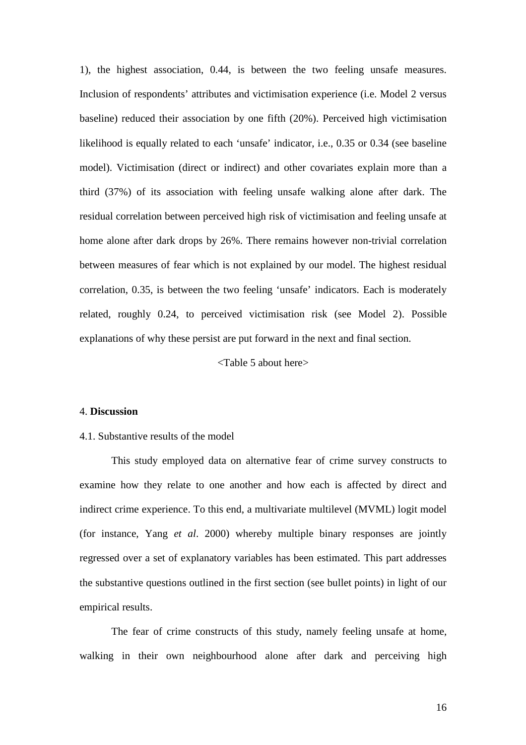1), the highest association, 0.44, is between the two feeling unsafe measures. Inclusion of respondents' attributes and victimisation experience (i.e. Model 2 versus baseline) reduced their association by one fifth (20%). Perceived high victimisation likelihood is equally related to each 'unsafe' indicator, i.e., 0.35 or 0.34 (see baseline model). Victimisation (direct or indirect) and other covariates explain more than a third (37%) of its association with feeling unsafe walking alone after dark. The residual correlation between perceived high risk of victimisation and feeling unsafe at home alone after dark drops by 26%. There remains however non-trivial correlation between measures of fear which is not explained by our model. The highest residual correlation, 0.35, is between the two feeling 'unsafe' indicators. Each is moderately related, roughly 0.24, to perceived victimisation risk (see Model 2). Possible explanations of why these persist are put forward in the next and final section.

<Table 5 about here>

# 4. **Discussion**

#### 4.1. Substantive results of the model

This study employed data on alternative fear of crime survey constructs to examine how they relate to one another and how each is affected by direct and indirect crime experience. To this end, a multivariate multilevel (MVML) logit model (for instance, Yang *et al*. 2000) whereby multiple binary responses are jointly regressed over a set of explanatory variables has been estimated. This part addresses the substantive questions outlined in the first section (see bullet points) in light of our empirical results.

The fear of crime constructs of this study, namely feeling unsafe at home, walking in their own neighbourhood alone after dark and perceiving high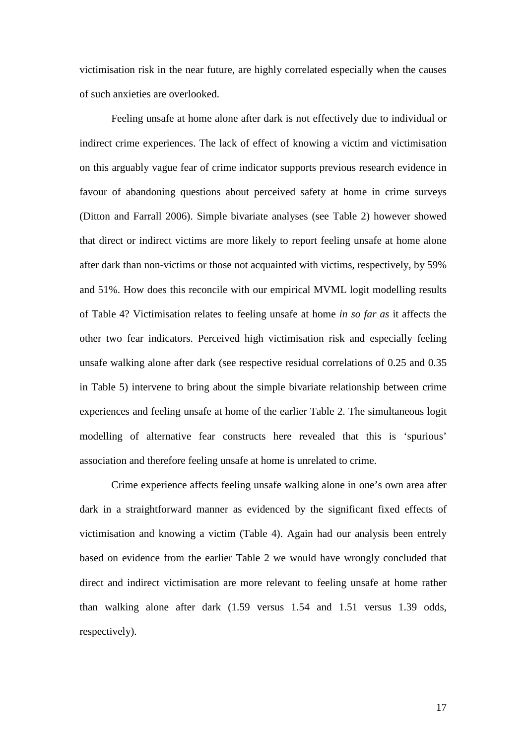victimisation risk in the near future, are highly correlated especially when the causes of such anxieties are overlooked.

 Feeling unsafe at home alone after dark is not effectively due to individual or indirect crime experiences. The lack of effect of knowing a victim and victimisation on this arguably vague fear of crime indicator supports previous research evidence in favour of abandoning questions about perceived safety at home in crime surveys (Ditton and Farrall 2006). Simple bivariate analyses (see Table 2) however showed that direct or indirect victims are more likely to report feeling unsafe at home alone after dark than non-victims or those not acquainted with victims, respectively, by 59% and 51%. How does this reconcile with our empirical MVML logit modelling results of Table 4? Victimisation relates to feeling unsafe at home *in so far as* it affects the other two fear indicators. Perceived high victimisation risk and especially feeling unsafe walking alone after dark (see respective residual correlations of 0.25 and 0.35 in Table 5) intervene to bring about the simple bivariate relationship between crime experiences and feeling unsafe at home of the earlier Table 2. The simultaneous logit modelling of alternative fear constructs here revealed that this is 'spurious' association and therefore feeling unsafe at home is unrelated to crime.

Crime experience affects feeling unsafe walking alone in one's own area after dark in a straightforward manner as evidenced by the significant fixed effects of victimisation and knowing a victim (Table 4). Again had our analysis been entrely based on evidence from the earlier Table 2 we would have wrongly concluded that direct and indirect victimisation are more relevant to feeling unsafe at home rather than walking alone after dark (1.59 versus 1.54 and 1.51 versus 1.39 odds, respectively).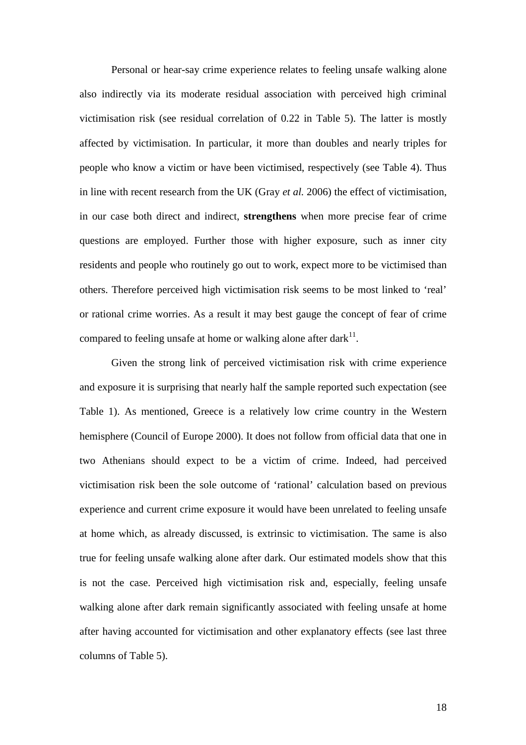Personal or hear-say crime experience relates to feeling unsafe walking alone also indirectly via its moderate residual association with perceived high criminal victimisation risk (see residual correlation of 0.22 in Table 5). The latter is mostly affected by victimisation. In particular, it more than doubles and nearly triples for people who know a victim or have been victimised, respectively (see Table 4). Thus in line with recent research from the UK (Gray *et al.* 2006) the effect of victimisation, in our case both direct and indirect, **strengthens** when more precise fear of crime questions are employed. Further those with higher exposure, such as inner city residents and people who routinely go out to work, expect more to be victimised than others. Therefore perceived high victimisation risk seems to be most linked to 'real' or rational crime worries. As a result it may best gauge the concept of fear of crime compared to feeling unsafe at home or walking alone after dark $^{11}$ .

Given the strong link of perceived victimisation risk with crime experience and exposure it is surprising that nearly half the sample reported such expectation (see Table 1). As mentioned, Greece is a relatively low crime country in the Western hemisphere (Council of Europe 2000). It does not follow from official data that one in two Athenians should expect to be a victim of crime. Indeed, had perceived victimisation risk been the sole outcome of 'rational' calculation based on previous experience and current crime exposure it would have been unrelated to feeling unsafe at home which, as already discussed, is extrinsic to victimisation. The same is also true for feeling unsafe walking alone after dark. Our estimated models show that this is not the case. Perceived high victimisation risk and, especially, feeling unsafe walking alone after dark remain significantly associated with feeling unsafe at home after having accounted for victimisation and other explanatory effects (see last three columns of Table 5).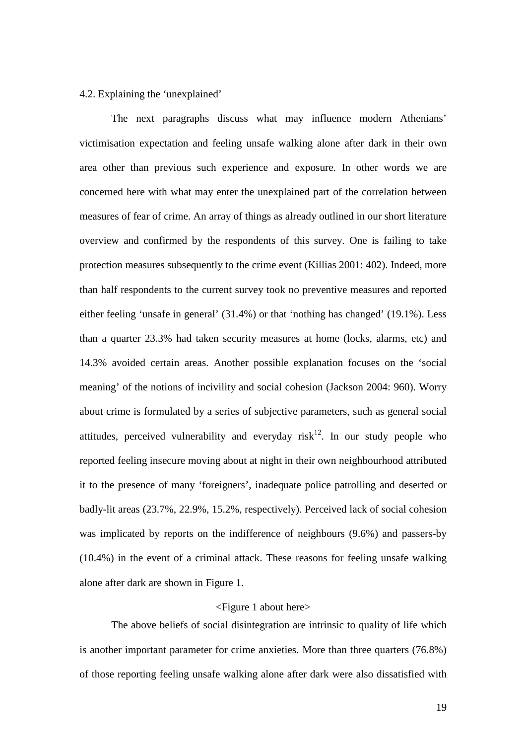#### 4.2. Explaining the 'unexplained'

The next paragraphs discuss what may influence modern Athenians' victimisation expectation and feeling unsafe walking alone after dark in their own area other than previous such experience and exposure. In other words we are concerned here with what may enter the unexplained part of the correlation between measures of fear of crime. An array of things as already outlined in our short literature overview and confirmed by the respondents of this survey. One is failing to take protection measures subsequently to the crime event (Killias 2001: 402). Indeed, more than half respondents to the current survey took no preventive measures and reported either feeling 'unsafe in general' (31.4%) or that 'nothing has changed' (19.1%). Less than a quarter 23.3% had taken security measures at home (locks, alarms, etc) and 14.3% avoided certain areas. Another possible explanation focuses on the 'social meaning' of the notions of incivility and social cohesion (Jackson 2004: 960). Worry about crime is formulated by a series of subjective parameters, such as general social attitudes, perceived vulnerability and everyday ris $k^{12}$ . In our study people who reported feeling insecure moving about at night in their own neighbourhood attributed it to the presence of many 'foreigners', inadequate police patrolling and deserted or badly-lit areas (23.7%, 22.9%, 15.2%, respectively). Perceived lack of social cohesion was implicated by reports on the indifference of neighbours (9.6%) and passers-by (10.4%) in the event of a criminal attack. These reasons for feeling unsafe walking alone after dark are shown in Figure 1.

# <Figure 1 about here>

The above beliefs of social disintegration are intrinsic to quality of life which is another important parameter for crime anxieties. More than three quarters (76.8%) of those reporting feeling unsafe walking alone after dark were also dissatisfied with

19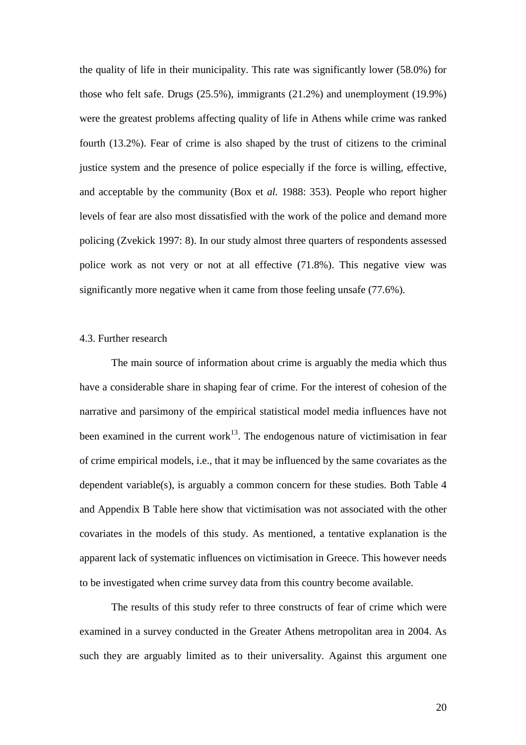the quality of life in their municipality. This rate was significantly lower (58.0%) for those who felt safe. Drugs (25.5%), immigrants (21.2%) and unemployment (19.9%) were the greatest problems affecting quality of life in Athens while crime was ranked fourth (13.2%). Fear of crime is also shaped by the trust of citizens to the criminal justice system and the presence of police especially if the force is willing, effective, and acceptable by the community (Box et *al.* 1988: 353). People who report higher levels of fear are also most dissatisfied with the work of the police and demand more policing (Zvekick 1997: 8). In our study almost three quarters of respondents assessed police work as not very or not at all effective (71.8%). This negative view was significantly more negative when it came from those feeling unsafe (77.6%).

#### 4.3. Further research

The main source of information about crime is arguably the media which thus have a considerable share in shaping fear of crime. For the interest of cohesion of the narrative and parsimony of the empirical statistical model media influences have not been examined in the current work<sup>13</sup>. The endogenous nature of victimisation in fear of crime empirical models, i.e., that it may be influenced by the same covariates as the dependent variable(s), is arguably a common concern for these studies. Both Table 4 and Appendix B Table here show that victimisation was not associated with the other covariates in the models of this study. As mentioned, a tentative explanation is the apparent lack of systematic influences on victimisation in Greece. This however needs to be investigated when crime survey data from this country become available.

The results of this study refer to three constructs of fear of crime which were examined in a survey conducted in the Greater Athens metropolitan area in 2004. As such they are arguably limited as to their universality. Against this argument one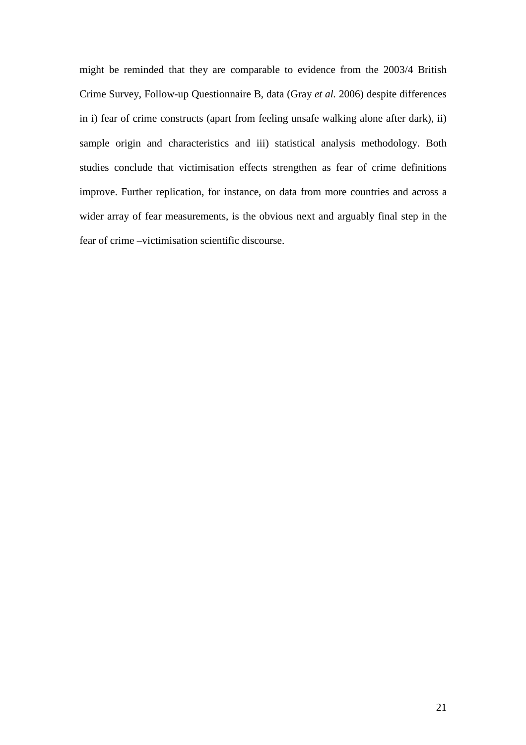might be reminded that they are comparable to evidence from the 2003/4 British Crime Survey, Follow-up Questionnaire B, data (Gray *et al.* 2006) despite differences in i) fear of crime constructs (apart from feeling unsafe walking alone after dark), ii) sample origin and characteristics and iii) statistical analysis methodology. Both studies conclude that victimisation effects strengthen as fear of crime definitions improve. Further replication, for instance, on data from more countries and across a wider array of fear measurements, is the obvious next and arguably final step in the fear of crime –victimisation scientific discourse.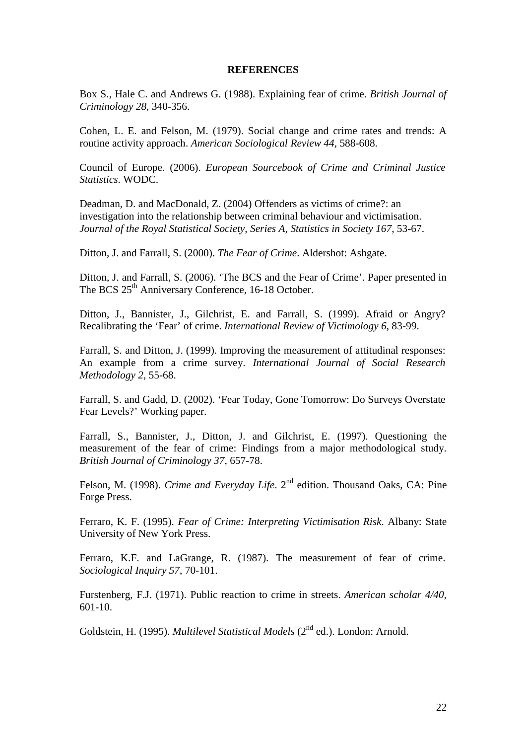#### **REFERENCES**

Box S., Hale C. and Andrews G. (1988). Explaining fear of crime. *British Journal of Criminology 28*, 340-356.

Cohen, L. E. and Felson, M. (1979). Social change and crime rates and trends: A routine activity approach. *American Sociological Review 44*, 588-608.

Council of Europe. (2006). *European Sourcebook of Crime and Criminal Justice Statistics*. WODC.

Deadman, D. and MacDonald, Z. (2004) Offenders as victims of crime?: an investigation into the relationship between criminal behaviour and victimisation. *Journal of the Royal Statistical Society, Series A, Statistics in Society 167*, 53-67.

Ditton, J. and Farrall, S. (2000). *The Fear of Crime*. Aldershot: Ashgate.

Ditton, J. and Farrall, S. (2006). 'The BCS and the Fear of Crime'. Paper presented in The BCS 25<sup>th</sup> Anniversary Conference, 16-18 October.

Ditton, J., Bannister, J., Gilchrist, E. and Farrall, S. (1999). Afraid or Angry? Recalibrating the 'Fear' of crime. *International Review of Victimology 6*, 83-99.

Farrall, S. and Ditton, J. (1999). Improving the measurement of attitudinal responses: An example from a crime survey. *International Journal of Social Research Methodology 2*, 55-68.

Farrall, S. and Gadd, D. (2002). 'Fear Today, Gone Tomorrow: Do Surveys Overstate Fear Levels?' Working paper.

Farrall, S., Bannister, J., Ditton, J. and Gilchrist, E. (1997). Questioning the measurement of the fear of crime: Findings from a major methodological study. *British Journal of Criminology 37*, 657-78.

Felson, M. (1998). *Crime and Everyday Life*. 2<sup>nd</sup> edition. Thousand Oaks, CA: Pine Forge Press.

Ferraro, K. F. (1995). *Fear of Crime: Interpreting Victimisation Risk*. Albany: State University of New York Press.

Ferraro, K.F. and LaGrange, R. (1987). The measurement of fear of crime. *Sociological Inquiry 57*, 70-101.

Furstenberg, F.J. (1971). Public reaction to crime in streets. *American scholar 4/40*, 601-10.

Goldstein, H. (1995). *Multilevel Statistical Models* (2<sup>nd</sup> ed.). London: Arnold.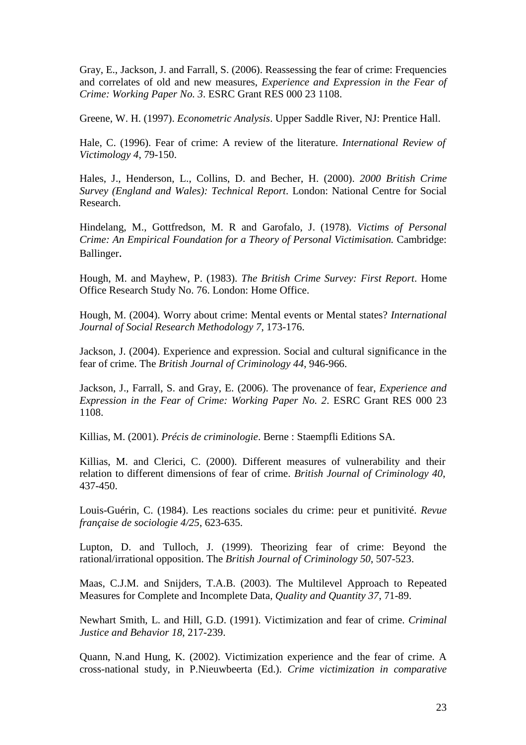Gray, E., Jackson, J. and Farrall, S. (2006). Reassessing the fear of crime: Frequencies and correlates of old and new measures, *Experience and Expression in the Fear of Crime: Working Paper No. 3*. ESRC Grant RES 000 23 1108.

Greene, W. H. (1997). *Econometric Analysis*. Upper Saddle River, NJ: Prentice Hall.

Hale, C. (1996). Fear of crime: A review of the literature. *International Review of Victimology 4*, 79-150.

Hales, J., Henderson, L., Collins, D. and Becher, H. (2000). *2000 British Crime Survey (England and Wales): Technical Report*. London: National Centre for Social Research.

Hindelang, M., Gottfredson, M. R and Garofalo, J. (1978). *Victims of Personal Crime: An Empirical Foundation for a Theory of Personal Victimisation.* Cambridge: Ballinger.

Hough, M. and Mayhew, P. (1983). *The British Crime Survey: First Report*. Home Office Research Study No. 76. London: Home Office.

Hough, M. (2004). Worry about crime: Mental events or Mental states? *International Journal of Social Research Methodology 7*, 173-176.

Jackson, J. (2004). Experience and expression. Social and cultural significance in the fear of crime. The *British Journal of Criminology 44*, 946-966.

Jackson, J., Farrall, S. and Gray, E. (2006). The provenance of fear, *Experience and Expression in the Fear of Crime: Working Paper No. 2*. ESRC Grant RES 000 23 1108.

Killias, M. (2001). *Précis de criminologie*. Berne : Staempfli Editions SA.

Killias, M. and Clerici, C. (2000). Different measures of vulnerability and their relation to different dimensions of fear of crime. *British Journal of Criminology 40*, 437-450.

Louis-Guérin, C. (1984). Les reactions sociales du crime: peur et punitivité. *Revue française de sociologie 4/25*, 623-635.

Lupton, D. and Tulloch, J. (1999). Theorizing fear of crime: Beyond the rational/irrational opposition. The *British Journal of Criminology 50*, 507-523.

Maas, C.J.M. and Snijders, T.A.B. (2003). The Multilevel Approach to Repeated Measures for Complete and Incomplete Data, *Quality and Quantity 37*, 71-89.

Newhart Smith, L. and Hill, G.D. (1991). Victimization and fear of crime. *Criminal Justice and Behavior 18*, 217-239.

Quann, N.and Hung, K. (2002). Victimization experience and the fear of crime. A cross-national study, in P.Nieuwbeerta (Ed.). *Crime victimization in comparative*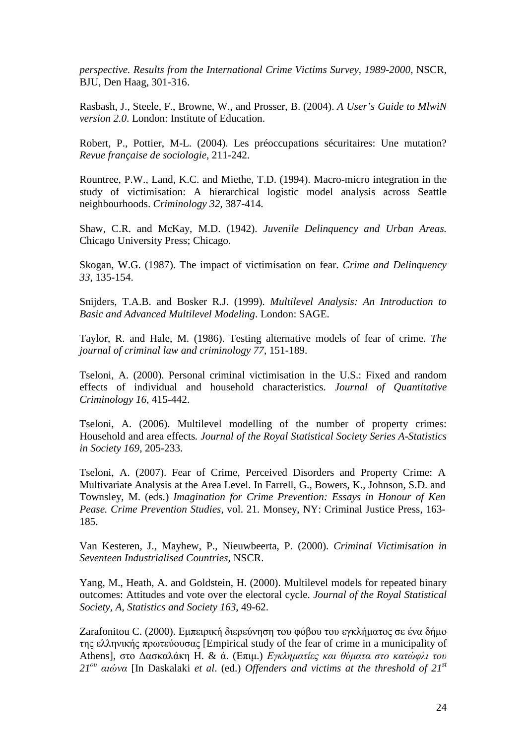*perspective. Results from the International Crime Victims Survey, 1989-2000*, NSCR, BJU, Den Haag, 301-316.

Rasbash, J., Steele, F., Browne, W., and Prosser, B. (2004). *A User's Guide to MlwiN version 2.0*. London: Institute of Education.

Robert, P., Pottier, M-L. (2004). Les préoccupations sécuritaires: Une mutation? *Revue française de sociologie*, 211-242.

Rountree, P.W., Land, K.C. and Miethe, T.D. (1994). Macro-micro integration in the study of victimisation: A hierarchical logistic model analysis across Seattle neighbourhoods. *Criminology 32*, 387-414.

Shaw, C.R. and McKay, M.D. (1942). *Juvenile Delinquency and Urban Areas.* Chicago University Press; Chicago.

Skogan, W.G. (1987). The impact of victimisation on fear. *Crime and Delinquency 33*, 135-154.

Snijders, T.A.B. and Bosker R.J. (1999). *Multilevel Analysis: An Introduction to Basic and Advanced Multilevel Modeling*. London: SAGE.

Taylor, R. and Hale, M. (1986). Testing alternative models of fear of crime. *The journal of criminal law and criminology 77*, 151-189.

Tseloni, A. (2000). Personal criminal victimisation in the U.S.: Fixed and random effects of individual and household characteristics. *Journal of Quantitative Criminology 16*, 415-442.

Tseloni, A. (2006). Multilevel modelling of the number of property crimes: Household and area effects*. Journal of the Royal Statistical Society Series A-Statistics in Society 169*, 205-233.

Tseloni, A. (2007). Fear of Crime, Perceived Disorders and Property Crime: A Multivariate Analysis at the Area Level. In Farrell, G., Bowers, K., Johnson, S.D. and Townsley, M. (eds.) *Imagination for Crime Prevention: Essays in Honour of Ken Pease. Crime Prevention Studies*, vol. 21. Monsey, NY: Criminal Justice Press, 163- 185.

Van Kesteren, J., Mayhew, P., Nieuwbeerta, P. (2000). *Criminal Victimisation in Seventeen Industrialised Countries*, NSCR.

Yang, M., Heath, A. and Goldstein, H. (2000). Multilevel models for repeated binary outcomes: Attitudes and vote over the electoral cycle. *Journal of the Royal Statistical Society, A, Statistics and Society 163*, 49-62.

Ζarafonitou C. (2000). Εµπειρική διερεύνηση του φόβου του εγκλήµατος σε ένα δήµο της ελληνικής πρωτεύουσας [Empirical study of the fear of crime in a municipality of Athens], στο Δασκαλάκη Η. & ά. (Επιμ.) *Εγκληματίες και θύματα στο κατώφλι του 21*ου αιώνα [In Daskalaki *et al*. (ed.) *Offenders and victims at the threshold of 21st*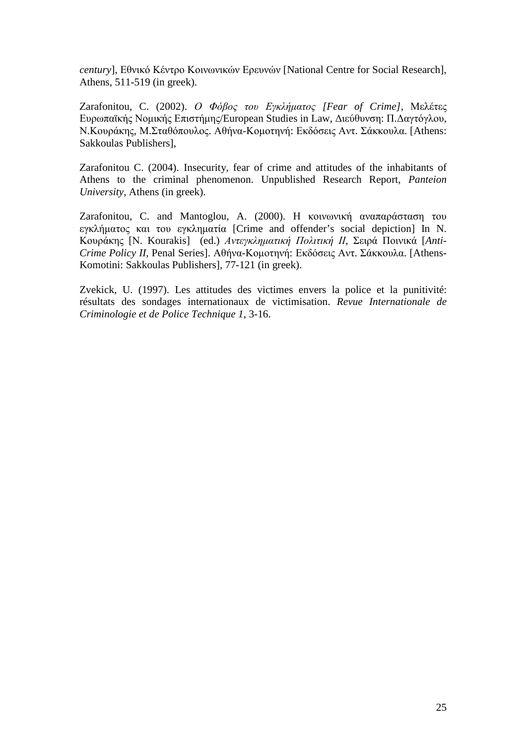*century*], Εθνικό Κέντρο Κοινωνικών Ερευνών [National Centre for Social Research], Athens, 511-519 (in greek).

Ζarafonitou, C. (2002). Ο Φόβος του Εγκλήµατος *[Fear of Crime]*, Μελέτες Ευρωπαϊκής Νοµικής Επιστήµης/European Studies in Law, ∆ιεύθυνση: Π.∆αγτόγλου, Ν.Κουράκης, Μ.Σταθόπουλος. Αθήνα-Κοµοτηνή: Εκδόσεις Αντ. Σάκκουλα. [Athens: Sakkoulas Publishers],

Ζarafonitou C. (2004). Insecurity, fear of crime and attitudes of the inhabitants of Athens to the criminal phenomenon. Unpublished Research Report, *Panteion University*, Athens (in greek).

Zarafonitou, C. and Mantoglou, A. (2000). Η κοινωνική αναπαράσταση του εγκλήµατος και του εγκληµατία [Crime and offender's social depiction] In N. Κουράκης [Ν. Kourakis] (ed.) Αντεγκληµατική Πολιτική ΙΙ, Σειρά Ποινικά [*Anti-Crime Policy II*, Penal Series]. Αθήνα-Κοµοτηνή: Εκδόσεις Αντ. Σάκκουλα. [Athens-Komotini: Sakkoulas Publishers], 77-121 (in greek).

Zvekick, U. (1997). Les attitudes des victimes envers la police et la punitivité: résultats des sondages internationaux de victimisation. *Revue Internationale de Criminologie et de Police Technique 1*, 3-16.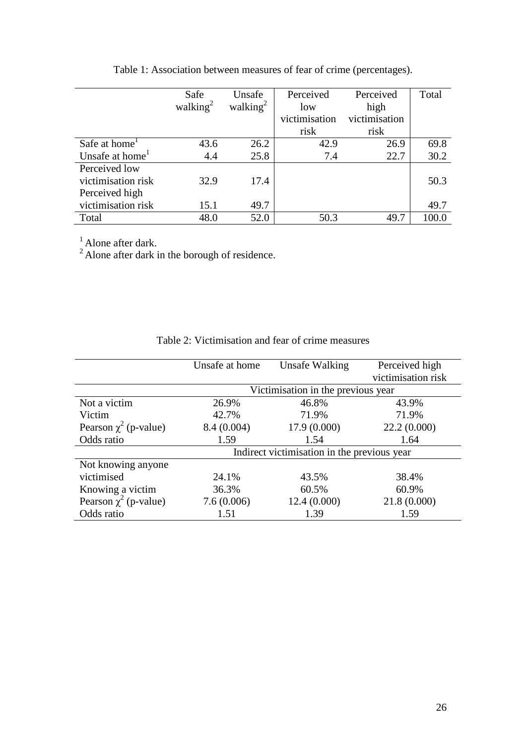|                             | Safe        | Unsafe      | Perceived     | Perceived     | Total |
|-----------------------------|-------------|-------------|---------------|---------------|-------|
|                             | walking $2$ | walking $2$ | low           | high          |       |
|                             |             |             | victimisation | victimisation |       |
|                             |             |             | risk          | risk          |       |
| Safe at home <sup>1</sup>   | 43.6        | 26.2        | 42.9          | 26.9          | 69.8  |
| Unsafe at home <sup>1</sup> | 4.4         | 25.8        | 7.4           | 22.7          | 30.2  |
| Perceived low               |             |             |               |               |       |
| victimisation risk          | 32.9        | 17.4        |               |               | 50.3  |
| Perceived high              |             |             |               |               |       |
| victimisation risk          | 15.1        | 49.7        |               |               | 49.7  |
| Total                       | 48.0        | 52.0        | 50.3          | 49.7          | 100.0 |

Table 1: Association between measures of fear of crime (percentages).

 $<sup>1</sup>$  Alone after dark.</sup>

 $2^2$  Alone after dark in the borough of residence.

|                            | Unsafe at home                              | Unsafe Walking                     | Perceived high     |  |  |  |  |
|----------------------------|---------------------------------------------|------------------------------------|--------------------|--|--|--|--|
|                            |                                             |                                    | victimisation risk |  |  |  |  |
|                            |                                             | Victimisation in the previous year |                    |  |  |  |  |
| Not a victim               | 26.9%                                       | 46.8%                              | 43.9%              |  |  |  |  |
| Victim                     | 42.7%                                       | 71.9%                              | 71.9%              |  |  |  |  |
| Pearson $\chi^2$ (p-value) | 8.4 (0.004)                                 | 17.9(0.000)                        | 22.2(0.000)        |  |  |  |  |
| Odds ratio                 | 1.59                                        | 1.54                               | 1.64               |  |  |  |  |
|                            | Indirect victimisation in the previous year |                                    |                    |  |  |  |  |
| Not knowing anyone         |                                             |                                    |                    |  |  |  |  |
| victimised                 | 24.1%                                       | 43.5%                              | 38.4%              |  |  |  |  |
| Knowing a victim           | 36.3%                                       | 60.5%                              | 60.9%              |  |  |  |  |
| Pearson $\chi^2$ (p-value) | 7.6(0.006)                                  | 12.4(0.000)                        | 21.8(0.000)        |  |  |  |  |
| Odds ratio                 | 1.51                                        | 1.39                               | 1.59               |  |  |  |  |

Table 2: Victimisation and fear of crime measures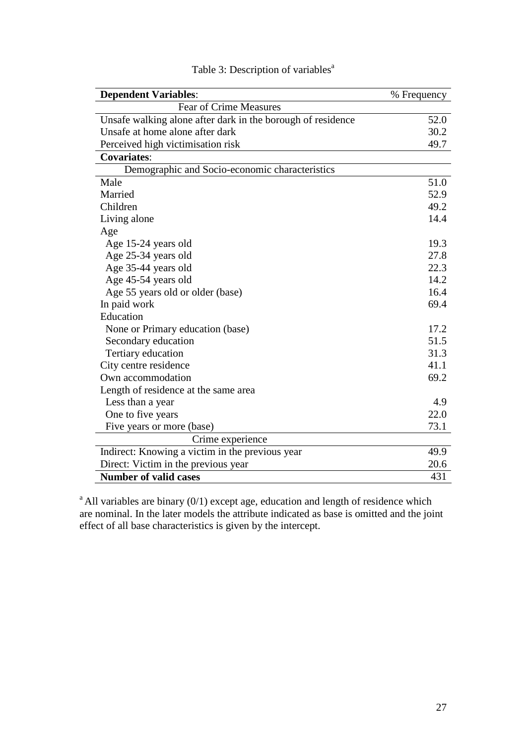| <b>Dependent Variables:</b>                                 | % Frequency |
|-------------------------------------------------------------|-------------|
| <b>Fear of Crime Measures</b>                               |             |
| Unsafe walking alone after dark in the borough of residence | 52.0        |
| Unsafe at home alone after dark                             | 30.2        |
| Perceived high victimisation risk                           | 49.7        |
| <b>Covariates:</b>                                          |             |
| Demographic and Socio-economic characteristics              |             |
| Male                                                        | 51.0        |
| Married                                                     | 52.9        |
| Children                                                    | 49.2        |
| Living alone                                                | 14.4        |
| Age                                                         |             |
| Age 15-24 years old                                         | 19.3        |
| Age 25-34 years old                                         | 27.8        |
| Age 35-44 years old                                         | 22.3        |
| Age 45-54 years old                                         | 14.2        |
| Age 55 years old or older (base)                            | 16.4        |
| In paid work                                                | 69.4        |
| Education                                                   |             |
| None or Primary education (base)                            | 17.2        |
| Secondary education                                         | 51.5        |
| Tertiary education                                          | 31.3        |
| City centre residence                                       | 41.1        |
| Own accommodation                                           | 69.2        |
| Length of residence at the same area                        |             |
| Less than a year                                            | 4.9         |
| One to five years                                           | 22.0        |
| Five years or more (base)                                   | 73.1        |
| Crime experience                                            |             |
| Indirect: Knowing a victim in the previous year             | 49.9        |
| Direct: Victim in the previous year                         | 20.6        |
| <b>Number of valid cases</b>                                | 431         |

# Table 3: Description of variables<sup>a</sup>

 $a<sup>a</sup>$  All variables are binary (0/1) except age, education and length of residence which are nominal. In the later models the attribute indicated as base is omitted and the joint effect of all base characteristics is given by the intercept.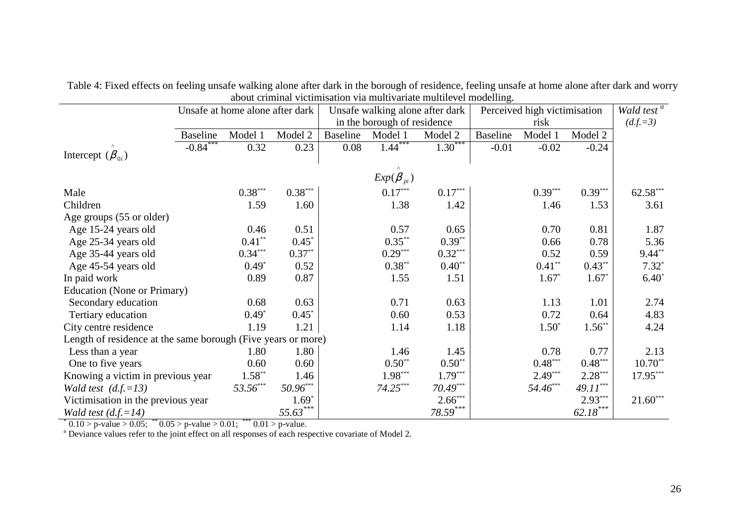|                                                              | Unsafe at home alone after dark |           |                        |                             | Unsafe walking alone after dark |            |                 | Perceived high victimisation |             |            |
|--------------------------------------------------------------|---------------------------------|-----------|------------------------|-----------------------------|---------------------------------|------------|-----------------|------------------------------|-------------|------------|
|                                                              |                                 |           |                        | in the borough of residence |                                 |            | risk            |                              |             | $(d.f.=3)$ |
|                                                              | <b>Baseline</b>                 | Model 1   | Model 2                | <b>Baseline</b>             | Model 1                         | Model 2    | <b>Baseline</b> | Model 1                      | Model 2     |            |
|                                                              | $-0.84$ ***                     | 0.32      | 0.23                   | 0.08                        | $1.44$ <sup>***</sup>           | $1.30***$  | $-0.01$         | $-0.02$                      | $-0.24$     |            |
| Intercept $(\beta_{0i})$                                     |                                 |           |                        |                             |                                 |            |                 |                              |             |            |
|                                                              |                                 |           |                        |                             | $Exp(\beta_{pi})$               |            |                 |                              |             |            |
| Male                                                         |                                 | $0.38***$ | $0.38***$              |                             | $0.17***$                       | $0.17***$  |                 | $0.39***$                    | $0.39***$   | $62.58***$ |
| Children                                                     |                                 | 1.59      | 1.60                   |                             | 1.38                            | 1.42       |                 | 1.46                         | 1.53        | 3.61       |
| Age groups (55 or older)                                     |                                 |           |                        |                             |                                 |            |                 |                              |             |            |
| Age 15-24 years old                                          |                                 | 0.46      | 0.51                   |                             | 0.57                            | 0.65       |                 | 0.70                         | 0.81        | 1.87       |
| Age 25-34 years old                                          |                                 | $0.41**$  | $0.45*$                |                             | $0.35***$                       | $0.39**$   |                 | 0.66                         | 0.78        | 5.36       |
| Age 35-44 years old                                          |                                 | $0.34***$ | $0.37**$               |                             | $0.29***$                       | $0.32***$  |                 | 0.52                         | 0.59        | $9.44**$   |
| Age 45-54 years old                                          |                                 | $0.49*$   | 0.52                   |                             | $0.38**$                        | $0.40**$   |                 | $0.41**$                     | $0.43**$    | $7.32*$    |
| In paid work                                                 |                                 | 0.89      | 0.87                   |                             | 1.55                            | 1.51       |                 | $1.67*$                      | $1.67*$     | $6.40*$    |
| <b>Education (None or Primary)</b>                           |                                 |           |                        |                             |                                 |            |                 |                              |             |            |
| Secondary education                                          |                                 | 0.68      | 0.63                   |                             | 0.71                            | 0.63       |                 | 1.13                         | 1.01        | 2.74       |
| Tertiary education                                           |                                 | $0.49*$   | $0.45*$                |                             | 0.60                            | 0.53       |                 | 0.72                         | 0.64        | 4.83       |
| City centre residence                                        |                                 | 1.19      | 1.21                   |                             | 1.14                            | 1.18       |                 | $1.50*$                      | $1.56^{**}$ | 4.24       |
| Length of residence at the same borough (Five years or more) |                                 |           |                        |                             |                                 |            |                 |                              |             |            |
| Less than a year                                             |                                 | 1.80      | 1.80                   |                             | 1.46                            | 1.45       |                 | 0.78                         | 0.77        | 2.13       |
| One to five years                                            |                                 | 0.60      | 0.60                   |                             | $0.50**$                        | $0.50**$   |                 | $0.48***$                    | $0.48***$   | $10.70**$  |
| Knowing a victim in previous year                            |                                 | $1.58***$ | 1.46                   |                             | $1.98***$                       | $1.79***$  |                 | $2.49***$                    | $2.28***$   | $17.95***$ |
| Wald test $(d.f.=13)$                                        |                                 | 53.56***  | $50.96^{\ast\ast\ast}$ |                             | $74.25***$                      | $70.49***$ |                 | 54.46***                     | 49.11***    |            |
| Victimisation in the previous year                           |                                 |           | $1.69*$                |                             |                                 | $2.66***$  |                 |                              | $2.93***$   | $21.60***$ |
| Wald test $(d.f.=14)$                                        |                                 |           | $55.63***$             |                             |                                 | $78.59***$ |                 |                              | 62.18***    |            |

Table 4: Fixed effects on feeling unsafe walking alone after dark in the borough of residence, feeling unsafe at home alone after dark and worry about criminal victimisation via multivariate multilevel modelling.

 $* 0.10 > p$ -value  $> 0.05$ ;  $* 0.05 > p$ -value  $> 0.01$ ;  $* * 0.01 > p$ -value.<br>
<sup>a</sup> Deviance values refer to the joint effect on all responses of each respective covariate of Model 2.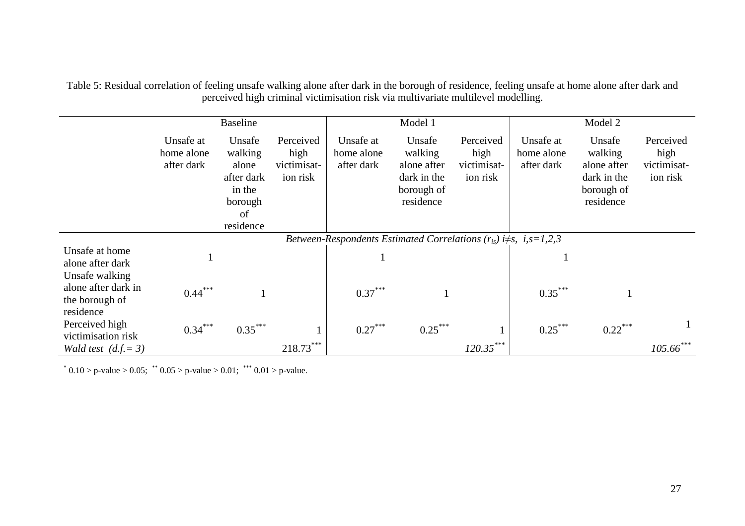Table 5: Residual correlation of feeling unsafe walking alone after dark in the borough of residence, feeling unsafe at home alone after dark and perceived high criminal victimisation risk via multivariate multilevel modelling.

|                                                              |                                       | <b>Baseline</b>                                                                  |                                              |                                                                             | Model 1                                                                    |                                              |                                       | Model 2                                                                    |                                              |
|--------------------------------------------------------------|---------------------------------------|----------------------------------------------------------------------------------|----------------------------------------------|-----------------------------------------------------------------------------|----------------------------------------------------------------------------|----------------------------------------------|---------------------------------------|----------------------------------------------------------------------------|----------------------------------------------|
|                                                              | Unsafe at<br>home alone<br>after dark | Unsafe<br>walking<br>alone<br>after dark<br>in the<br>borough<br>of<br>residence | Perceived<br>high<br>victimisat-<br>ion risk | Unsafe at<br>home alone<br>after dark                                       | Unsafe<br>walking<br>alone after<br>dark in the<br>borough of<br>residence | Perceived<br>high<br>victimisat-<br>ion risk | Unsafe at<br>home alone<br>after dark | Unsafe<br>walking<br>alone after<br>dark in the<br>borough of<br>residence | Perceived<br>high<br>victimisat-<br>ion risk |
|                                                              |                                       |                                                                                  |                                              | Between-Respondents Estimated Correlations $(r_{is})$ i $\neq$ s, i,s=1,2,3 |                                                                            |                                              |                                       |                                                                            |                                              |
| Unsafe at home<br>alone after dark<br>Unsafe walking         |                                       |                                                                                  |                                              |                                                                             |                                                                            |                                              |                                       |                                                                            |                                              |
| alone after dark in<br>the borough of<br>residence           | $0.44***$                             |                                                                                  |                                              | $0.37***$                                                                   |                                                                            |                                              | $0.35***$                             |                                                                            |                                              |
| Perceived high<br>victimisation risk<br>Wald test $(d.f.=3)$ | $0.34***$                             | $0.35***$                                                                        | $218.73***$                                  | $0.27***$                                                                   | $0.25***$                                                                  | $120.35***$                                  | $0.25***$                             | $0.22***$                                                                  | $105.66$ ***                                 |

\*  $0.10 > p$ -value  $> 0.05$ ; \*\*  $0.05 > p$ -value  $> 0.01$ ; \*\*\*  $0.01 > p$ -value.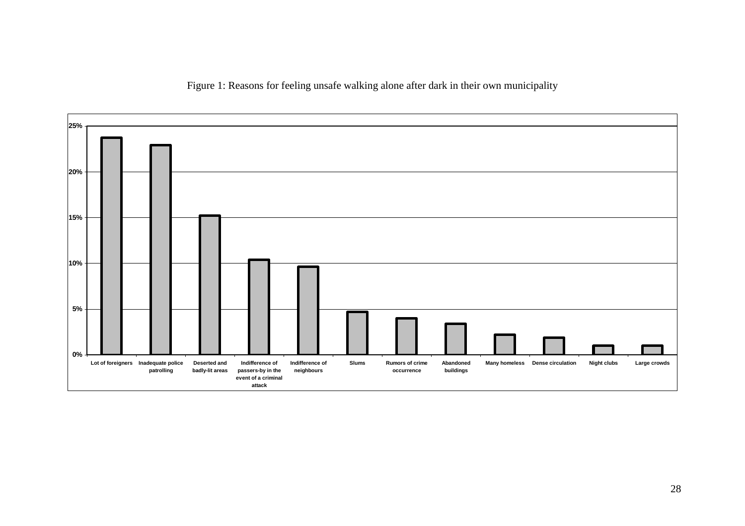Figure 1: Reasons for feeling unsafe walking alone after dark in their own municipality

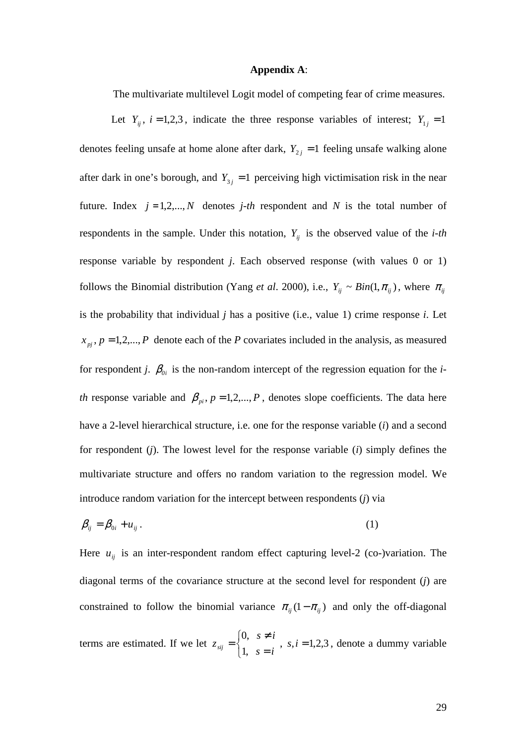#### **Appendix A**:

The multivariate multilevel Logit model of competing fear of crime measures.

Let  $Y_{ij}$ ,  $i = 1,2,3$ , indicate the three response variables of interest;  $Y_{1j} = 1$ denotes feeling unsafe at home alone after dark,  $Y_{2j} = 1$  feeling unsafe walking alone after dark in one's borough, and  $Y_{3i} = 1$  perceiving high victimisation risk in the near future. Index  $j = 1, 2, ..., N$  denotes  $j-th$  respondent and N is the total number of respondents in the sample. Under this notation,  $Y_{ij}$  is the observed value of the *i-th* response variable by respondent *j*. Each observed response (with values 0 or 1) follows the Binomial distribution (Yang *et al.* 2000), i.e.,  $Y_{ij} \sim Bin(1, \pi_{ij})$ , where  $\pi_{ij}$ is the probability that individual *j* has a positive (i.e., value 1) crime response *i*. Let  $x_{pi}$ ,  $p = 1, 2, \dots, P$  denote each of the *P* covariates included in the analysis, as measured for respondent *j*.  $\beta_{0i}$  is the non-random intercept of the regression equation for the *ith* response variable and  $\beta_{pi}$ ,  $p = 1, 2, ..., P$ , denotes slope coefficients. The data here have a 2-level hierarchical structure, i.e. one for the response variable (*i*) and a second for respondent (*j*). The lowest level for the response variable (*i*) simply defines the multivariate structure and offers no random variation to the regression model. We introduce random variation for the intercept between respondents (*j*) via

$$
\beta_{ij} = \beta_{0i} + u_{ij} \,. \tag{1}
$$

Here  $u_{ij}$  is an inter-respondent random effect capturing level-2 (co-)variation. The diagonal terms of the covariance structure at the second level for respondent (*j*) are constrained to follow the binomial variance  $\pi_{ii} (1 - \pi_{ii})$  and only the off-diagonal

terms are estimated. If we let  $z_{sii} = \begin{cases} 3, & i = 1,2,3 \\ 1, & i = 1,2,3 \end{cases}$  ,1 ,0 =  $\overline{\mathfrak{l}}$ ∤  $\sqrt{ }$ = ≠  $=\left\{\begin{matrix} 0, & 0 \end{matrix}\right\}$ , s, i  $s = i$  $s \neq i$  $z_{sij} = \begin{cases} 0, & i \neq j, \\ 1, & j \neq k \end{cases}$ , s,  $i = 1, 2, 3$ , denote a dummy variable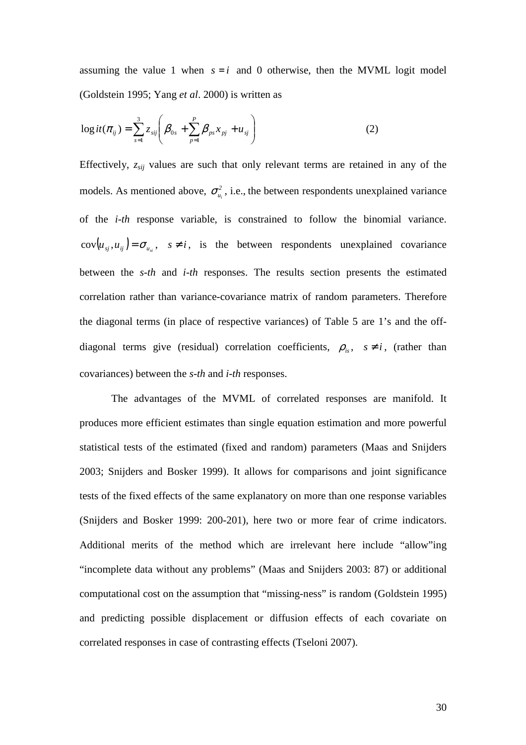assuming the value 1 when  $s = i$  and 0 otherwise, then the MVML logit model (Goldstein 1995; Yang *et al*. 2000) is written as

$$
\log it(\pi_{ij}) = \sum_{s=1}^{3} z_{sij} \left( \beta_{0s} + \sum_{p=1}^{P} \beta_{ps} x_{pj} + u_{sj} \right)
$$
 (2)

Effectively, *zsij* values are such that only relevant terms are retained in any of the models. As mentioned above,  $\sigma_{u_i}^2$ , i.e., the between respondents unexplained variance of the *i-th* response variable, is constrained to follow the binomial variance.  $cov(u_{s_j}, u_{ij}) = \sigma_{u_{si}}, \quad s \neq i$ , is the between respondents unexplained covariance between the *s-th* and *i-th* responses. The results section presents the estimated correlation rather than variance-covariance matrix of random parameters. Therefore the diagonal terms (in place of respective variances) of Table 5 are 1's and the offdiagonal terms give (residual) correlation coefficients,  $\rho_{is}$ ,  $s \neq i$ , (rather than covariances) between the *s-th* and *i-th* responses.

The advantages of the MVML of correlated responses are manifold. It produces more efficient estimates than single equation estimation and more powerful statistical tests of the estimated (fixed and random) parameters (Maas and Snijders 2003; Snijders and Bosker 1999). It allows for comparisons and joint significance tests of the fixed effects of the same explanatory on more than one response variables (Snijders and Bosker 1999: 200-201), here two or more fear of crime indicators. Additional merits of the method which are irrelevant here include "allow"ing "incomplete data without any problems" (Maas and Snijders 2003: 87) or additional computational cost on the assumption that "missing-ness" is random (Goldstein 1995) and predicting possible displacement or diffusion effects of each covariate on correlated responses in case of contrasting effects (Tseloni 2007).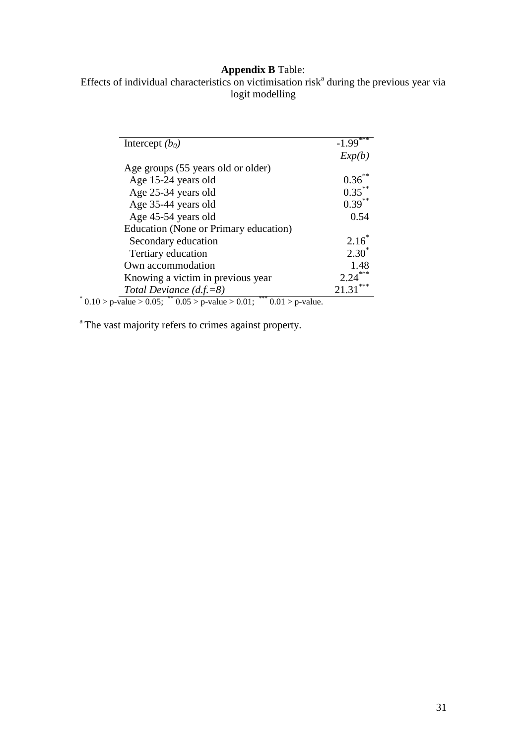# **Appendix B** Table:

Effects of individual characteristics on victimisation risk<sup>a</sup> during the previous year via logit modelling

|                                                                                                | ***          |
|------------------------------------------------------------------------------------------------|--------------|
| Intercept $(b_0)$                                                                              | $-1.99$      |
|                                                                                                | Exp(b)       |
| Age groups (55 years old or older)                                                             |              |
| Age 15-24 years old                                                                            | $0.36***$    |
| Age 25-34 years old                                                                            | $0.35***$    |
| Age 35-44 years old                                                                            | $0.39^{**}$  |
| Age 45-54 years old                                                                            | 0.54         |
| Education (None or Primary education)                                                          |              |
| Secondary education                                                                            | $2.16^*$     |
| Tertiary education                                                                             | $2.30^*$     |
| Own accommodation                                                                              | 1.48         |
| Knowing a victim in previous year                                                              | 2.24         |
| Total Deviance $(d.f.=8)$                                                                      | ***<br>21.31 |
| *** $\overline{0.01}$ > p-value.<br>$^*$ 0.10 > p-value > 0.05; $^{**}$ 0.05 > p-value > 0.01; |              |

<sup>a</sup>The vast majority refers to crimes against property.